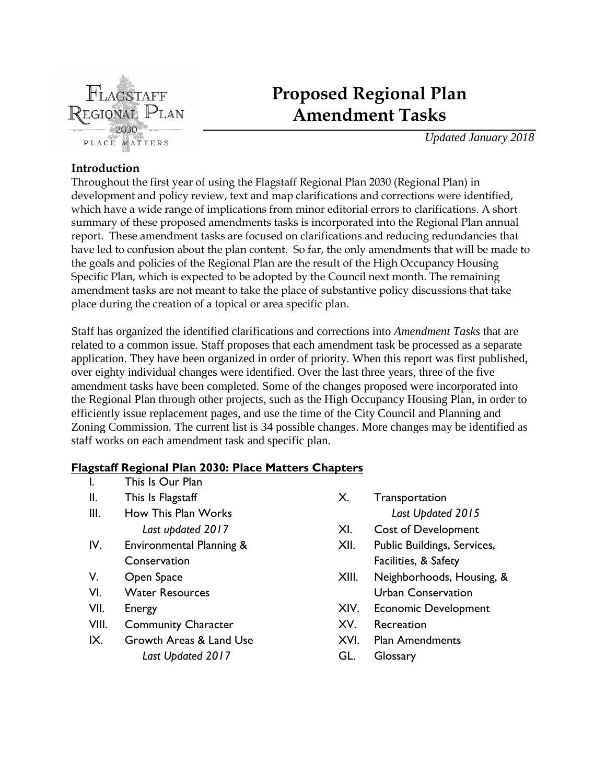

# **Proposed Regional Plan Amendment Tasks**

*Updated January 2018*

# **Introduction**

Throughout the first year of using the Flagstaff Regional Plan 2030 (Regional Plan) in development and policy review, text and map clarifications and corrections were identified, which have a wide range of implications from minor editorial errors to clarifications. A short summary of these proposed amendments tasks is incorporated into the Regional Plan annual report. These amendment tasks are focused on clarifications and reducing redundancies that have led to confusion about the plan content. So far, the only amendments that will be made to the goals and policies of the Regional Plan are the result of the High Occupancy Housing Specific Plan, which is expected to be adopted by the Council next month. The remaining amendment tasks are not meant to take the place of substantive policy discussions that take place during the creation of a topical or area specific plan.

Staff has organized the identified clarifications and corrections into *Amendment Tasks* that are related to a common issue. Staff proposes that each amendment task be processed as a separate application. They have been organized in order of priority. When this report was first published, over eighty individual changes were identified. Over the last three years, three of the five amendment tasks have been completed. Some of the changes proposed were incorporated into the Regional Plan through other projects, such as the High Occupancy Housing Plan, in order to efficiently issue replacement pages, and use the time of the City Council and Planning and Zoning Commission. The current list is 34 possible changes. More changes may be identified as staff works on each amendment task and specific plan.

# **Flagstaff Regional Plan 2030: Place Matters Chapters**

| I.    | This Is Our Plan                    |
|-------|-------------------------------------|
| Ш.    | This Is Flagstaff                   |
| III.  | How This Plan Works                 |
|       | Last updated 2017                   |
| IV.   | <b>Environmental Planning &amp;</b> |
|       | Conservation                        |
| V.    | Open Space                          |
| VI.   | <b>Water Resources</b>              |
| VII.  | Energy                              |
| VIII. | <b>Community Character</b>          |
| IX.   | Growth Areas & Land Use             |
|       | Last Updated 2017                   |

- X. Transportation *Last Updated 2015*
- XI. Cost of Development
- XII. Public Buildings, Services, Facilities, & Safety
- XIII. Neighborhoods, Housing, & Urban Conservation
- XIV. Economic Development
- XV. Recreation
- XVI. Plan Amendments
- GL. Glossary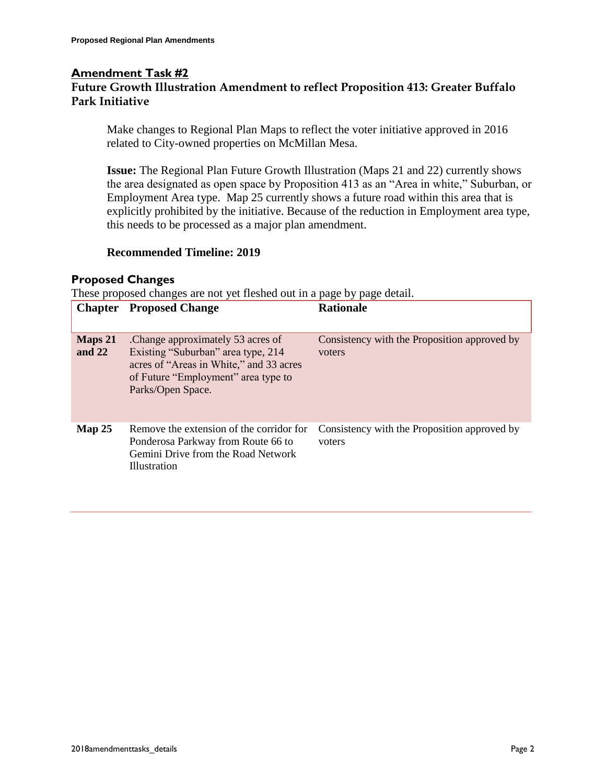## **Amendment Task #2**

## **Future Growth Illustration Amendment to reflect Proposition 413: Greater Buffalo Park Initiative**

Make changes to Regional Plan Maps to reflect the voter initiative approved in 2016 related to City-owned properties on McMillan Mesa.

**Issue:** The Regional Plan Future Growth Illustration (Maps 21 and 22) currently shows the area designated as open space by Proposition 413 as an "Area in white," Suburban, or Employment Area type. Map 25 currently shows a future road within this area that is explicitly prohibited by the initiative. Because of the reduction in Employment area type, this needs to be processed as a major plan amendment.

### **Recommended Timeline: 2019**

#### **Proposed Changes**

These proposed changes are not yet fleshed out in a page by page detail.

| <b>Chapter</b>      | <b>Proposed Change</b>                                                                                                                                                        | <b>Rationale</b>                                       |
|---------------------|-------------------------------------------------------------------------------------------------------------------------------------------------------------------------------|--------------------------------------------------------|
| Maps 21<br>and $22$ | Change approximately 53 acres of<br>Existing "Suburban" area type, 214<br>acres of "Areas in White," and 33 acres<br>of Future "Employment" area type to<br>Parks/Open Space. | Consistency with the Proposition approved by<br>voters |
| Map 25              | Remove the extension of the corridor for<br>Ponderosa Parkway from Route 66 to<br>Gemini Drive from the Road Network<br><b>Illustration</b>                                   | Consistency with the Proposition approved by<br>voters |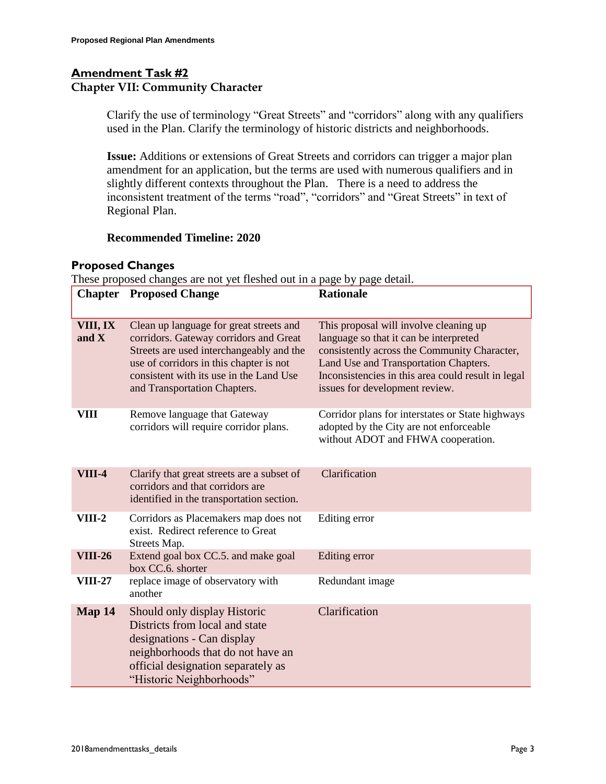# **Amendment Task #2 Chapter VII: Community Character**

Clarify the use of terminology "Great Streets" and "corridors" along with any qualifiers used in the Plan. Clarify the terminology of historic districts and neighborhoods.

**Issue:** Additions or extensions of Great Streets and corridors can trigger a major plan amendment for an application, but the terms are used with numerous qualifiers and in slightly different contexts throughout the Plan. There is a need to address the inconsistent treatment of the terms "road", "corridors" and "Great Streets" in text of Regional Plan.

## **Recommended Timeline: 2020**

### **Proposed Changes**

These proposed changes are not yet fleshed out in a page by page detail.

| <b>Chapter</b>      | <b>Proposed Change</b>                                                                                                                                                                                                                              | <b>Rationale</b>                                                                                                                                                                                                                                                  |
|---------------------|-----------------------------------------------------------------------------------------------------------------------------------------------------------------------------------------------------------------------------------------------------|-------------------------------------------------------------------------------------------------------------------------------------------------------------------------------------------------------------------------------------------------------------------|
| VIII, IX<br>and $X$ | Clean up language for great streets and<br>corridors. Gateway corridors and Great<br>Streets are used interchangeably and the<br>use of corridors in this chapter is not<br>consistent with its use in the Land Use<br>and Transportation Chapters. | This proposal will involve cleaning up<br>language so that it can be interpreted<br>consistently across the Community Character,<br>Land Use and Transportation Chapters.<br>Inconsistencies in this area could result in legal<br>issues for development review. |
| <b>VIII</b>         | Remove language that Gateway<br>corridors will require corridor plans.                                                                                                                                                                              | Corridor plans for interstates or State highways<br>adopted by the City are not enforceable<br>without ADOT and FHWA cooperation.                                                                                                                                 |
| <b>VIII-4</b>       | Clarify that great streets are a subset of<br>corridors and that corridors are<br>identified in the transportation section.                                                                                                                         | Clarification                                                                                                                                                                                                                                                     |
| VIII-2              | Corridors as Placemakers map does not<br>exist. Redirect reference to Great<br>Streets Map.                                                                                                                                                         | Editing error                                                                                                                                                                                                                                                     |
| <b>VIII-26</b>      | Extend goal box CC.5. and make goal<br>box CC.6. shorter                                                                                                                                                                                            | Editing error                                                                                                                                                                                                                                                     |
| <b>VIII-27</b>      | replace image of observatory with<br>another                                                                                                                                                                                                        | Redundant image                                                                                                                                                                                                                                                   |
| Map 14              | Should only display Historic<br>Districts from local and state<br>designations - Can display<br>neighborhoods that do not have an<br>official designation separately as<br>"Historic Neighborhoods"                                                 | Clarification                                                                                                                                                                                                                                                     |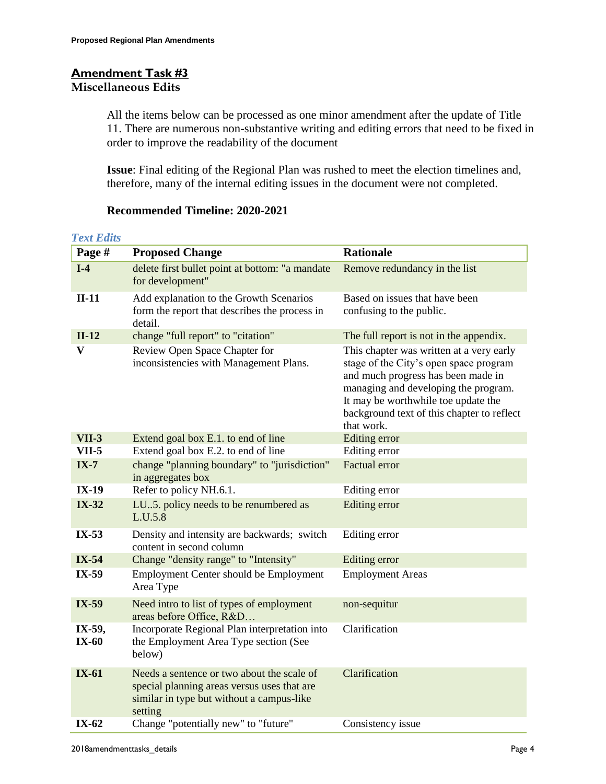# **Amendment Task #3 Miscellaneous Edits**

All the items below can be processed as one minor amendment after the update of Title 11. There are numerous non-substantive writing and editing errors that need to be fixed in order to improve the readability of the document

**Issue**: Final editing of the Regional Plan was rushed to meet the election timelines and, therefore, many of the internal editing issues in the document were not completed.

| <b>Text Edits</b> |                                                                                                                                                   |                                                                                                                                                                                                                                                                     |
|-------------------|---------------------------------------------------------------------------------------------------------------------------------------------------|---------------------------------------------------------------------------------------------------------------------------------------------------------------------------------------------------------------------------------------------------------------------|
| Page #            | <b>Proposed Change</b>                                                                                                                            | <b>Rationale</b>                                                                                                                                                                                                                                                    |
| $I-4$             | delete first bullet point at bottom: "a mandate<br>for development"                                                                               | Remove redundancy in the list                                                                                                                                                                                                                                       |
| $II-11$           | Add explanation to the Growth Scenarios<br>form the report that describes the process in<br>detail.                                               | Based on issues that have been<br>confusing to the public.                                                                                                                                                                                                          |
| $II-12$           | change "full report" to "citation"                                                                                                                | The full report is not in the appendix.                                                                                                                                                                                                                             |
| $\mathbf{V}$      | Review Open Space Chapter for<br>inconsistencies with Management Plans.                                                                           | This chapter was written at a very early<br>stage of the City's open space program<br>and much progress has been made in<br>managing and developing the program.<br>It may be worthwhile toe update the<br>background text of this chapter to reflect<br>that work. |
| $VII-3$           | Extend goal box E.1. to end of line                                                                                                               | Editing error                                                                                                                                                                                                                                                       |
| <b>VII-5</b>      | Extend goal box E.2. to end of line                                                                                                               | Editing error                                                                                                                                                                                                                                                       |
| $IX-7$            | change "planning boundary" to "jurisdiction"<br>in aggregates box                                                                                 | <b>Factual error</b>                                                                                                                                                                                                                                                |
| $IX-19$           | Refer to policy NH.6.1.                                                                                                                           | Editing error                                                                                                                                                                                                                                                       |
| <b>IX-32</b>      | LU5. policy needs to be renumbered as<br>L.U.5.8                                                                                                  | Editing error                                                                                                                                                                                                                                                       |
| $IX-53$           | Density and intensity are backwards; switch<br>content in second column                                                                           | Editing error                                                                                                                                                                                                                                                       |
| <b>IX-54</b>      | Change "density range" to "Intensity"                                                                                                             | Editing error                                                                                                                                                                                                                                                       |
| IX-59             | Employment Center should be Employment<br>Area Type                                                                                               | <b>Employment Areas</b>                                                                                                                                                                                                                                             |
| $IX-59$           | Need intro to list of types of employment<br>areas before Office, R&D                                                                             | non-sequitur                                                                                                                                                                                                                                                        |
| IX-59,<br>$IX-60$ | Incorporate Regional Plan interpretation into<br>the Employment Area Type section (See<br>below)                                                  | Clarification                                                                                                                                                                                                                                                       |
| $IX-61$           | Needs a sentence or two about the scale of<br>special planning areas versus uses that are<br>similar in type but without a campus-like<br>setting | Clarification                                                                                                                                                                                                                                                       |
| $IX-62$           | Change "potentially new" to "future"                                                                                                              | Consistency issue                                                                                                                                                                                                                                                   |

#### **Recommended Timeline: 2020-2021**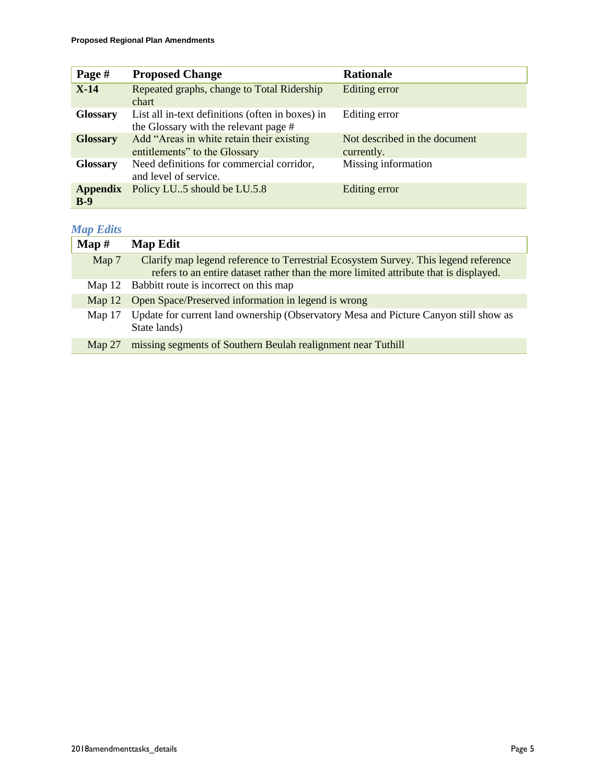| Page #                   | <b>Proposed Change</b>                                                                    | <b>Rationale</b>                            |
|--------------------------|-------------------------------------------------------------------------------------------|---------------------------------------------|
| $X-14$                   | Repeated graphs, change to Total Ridership<br>chart                                       | Editing error                               |
| <b>Glossary</b>          | List all in-text definitions (often in boxes) in<br>the Glossary with the relevant page # | Editing error                               |
| <b>Glossary</b>          | Add "Areas in white retain their existing<br>entitlements" to the Glossary                | Not described in the document<br>currently. |
| <b>Glossary</b>          | Need definitions for commercial corridor,<br>and level of service.                        | Missing information                         |
| <b>Appendix</b><br>$B-9$ | Policy LU5 should be LU.5.8                                                               | Editing error                               |

### *Map Edits*

| $\mathbf{Map} \#$ | <b>Map Edit</b>                                                                                                                                                              |
|-------------------|------------------------------------------------------------------------------------------------------------------------------------------------------------------------------|
| Map 7             | Clarify map legend reference to Terrestrial Ecosystem Survey. This legend reference<br>refers to an entire dataset rather than the more limited attribute that is displayed. |
|                   | Map 12 Babbitt route is incorrect on this map                                                                                                                                |
|                   | Map 12 Open Space/Preserved information in legend is wrong                                                                                                                   |
| Map $17$          | Update for current land ownership (Observatory Mesa and Picture Canyon still show as<br>State lands)                                                                         |
| Map $27$          | missing segments of Southern Beulah realignment near Tuthill                                                                                                                 |